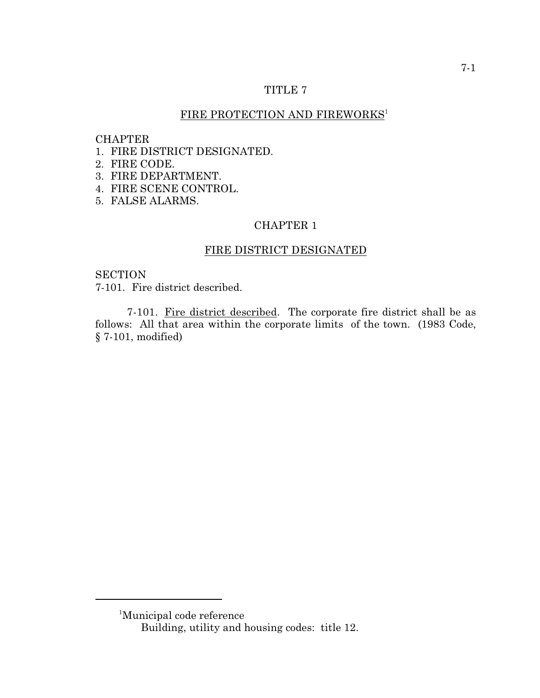### TITLE 7

# FIRE PROTECTION AND FIREWORKS 1

#### **CHAPTER**

- 1. FIRE DISTRICT DESIGNATED.
- 2. FIRE CODE.
- 3. FIRE DEPARTMENT.
- 4. FIRE SCENE CONTROL.
- 5. FALSE ALARMS.

# CHAPTER 1

# FIRE DISTRICT DESIGNATED

# **SECTION**

7-101. Fire district described.

7-101. Fire district described. The corporate fire district shall be as follows: All that area within the corporate limits of the town. (1983 Code, § 7-101, modified)

<sup>&</sup>lt;sup>1</sup>Municipal code reference

Building, utility and housing codes: title 12.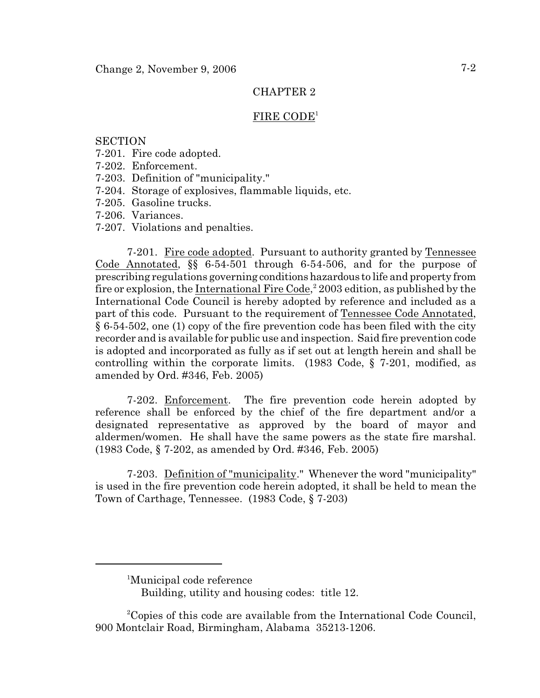#### FIRE CODE<sup>1</sup>

#### **SECTION**

- 7-201. Fire code adopted.
- 7-202. Enforcement.
- 7-203. Definition of "municipality."
- 7-204. Storage of explosives, flammable liquids, etc.
- 7-205. Gasoline trucks.
- 7-206. Variances.
- 7-207. Violations and penalties.

7-201. Fire code adopted. Pursuant to authority granted by Tennessee Code Annotated, §§ 6-54-501 through 6-54-506, and for the purpose of prescribing regulations governing conditions hazardous to life and property from fire or explosion, the International Fire Code,<sup>2</sup> 2003 edition, as published by the International Code Council is hereby adopted by reference and included as a part of this code. Pursuant to the requirement of Tennessee Code Annotated, § 6-54-502, one (1) copy of the fire prevention code has been filed with the city recorder and is available for public use and inspection. Said fire prevention code is adopted and incorporated as fully as if set out at length herein and shall be controlling within the corporate limits. (1983 Code, § 7-201, modified, as amended by Ord. #346, Feb. 2005)

7-202. Enforcement. The fire prevention code herein adopted by reference shall be enforced by the chief of the fire department and/or a designated representative as approved by the board of mayor and aldermen/women. He shall have the same powers as the state fire marshal. (1983 Code, § 7-202, as amended by Ord. #346, Feb. 2005)

7-203. Definition of "municipality." Whenever the word "municipality" is used in the fire prevention code herein adopted, it shall be held to mean the Town of Carthage, Tennessee. (1983 Code, § 7-203)

<sup>&</sup>lt;sup>1</sup>Municipal code reference

Building, utility and housing codes: title 12.

<sup>&</sup>lt;sup>2</sup>Copies of this code are available from the International Code Council, 900 Montclair Road, Birmingham, Alabama 35213-1206.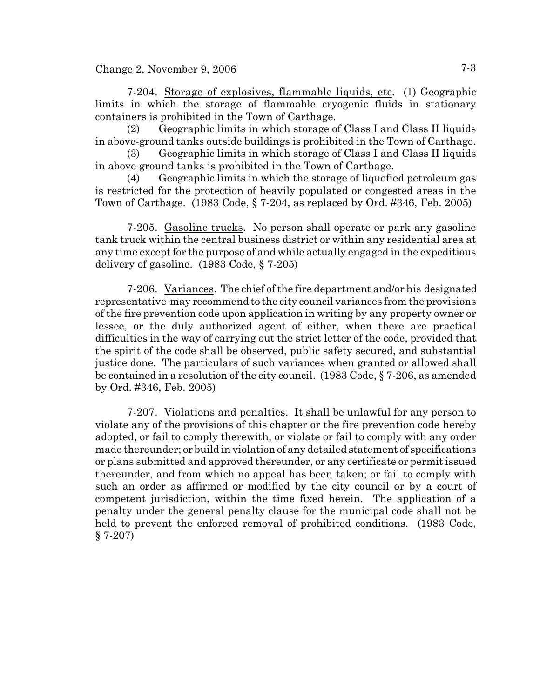Change 2, November 9, 2006  $7-3$ 

7-204. Storage of explosives, flammable liquids, etc. (1) Geographic limits in which the storage of flammable cryogenic fluids in stationary containers is prohibited in the Town of Carthage.

(2) Geographic limits in which storage of Class I and Class II liquids in above-ground tanks outside buildings is prohibited in the Town of Carthage.

(3) Geographic limits in which storage of Class I and Class II liquids in above ground tanks is prohibited in the Town of Carthage.

(4) Geographic limits in which the storage of liquefied petroleum gas is restricted for the protection of heavily populated or congested areas in the Town of Carthage. (1983 Code, § 7-204, as replaced by Ord. #346, Feb. 2005)

7-205. Gasoline trucks. No person shall operate or park any gasoline tank truck within the central business district or within any residential area at any time except for the purpose of and while actually engaged in the expeditious delivery of gasoline. (1983 Code, § 7-205)

7-206. Variances. The chief of the fire department and/or his designated representative may recommend to the city council variances from the provisions of the fire prevention code upon application in writing by any property owner or lessee, or the duly authorized agent of either, when there are practical difficulties in the way of carrying out the strict letter of the code, provided that the spirit of the code shall be observed, public safety secured, and substantial justice done. The particulars of such variances when granted or allowed shall be contained in a resolution of the city council. (1983 Code, § 7-206, as amended by Ord. #346, Feb. 2005)

7-207. Violations and penalties. It shall be unlawful for any person to violate any of the provisions of this chapter or the fire prevention code hereby adopted, or fail to comply therewith, or violate or fail to comply with any order made thereunder; or build in violation of any detailed statement of specifications or plans submitted and approved thereunder, or any certificate or permit issued thereunder, and from which no appeal has been taken; or fail to comply with such an order as affirmed or modified by the city council or by a court of competent jurisdiction, within the time fixed herein. The application of a penalty under the general penalty clause for the municipal code shall not be held to prevent the enforced removal of prohibited conditions. (1983 Code, § 7-207)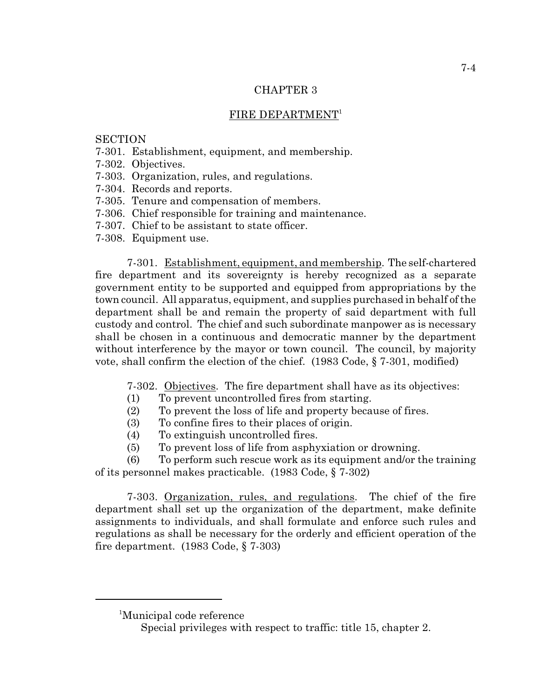#### FIRE DEPARTMENT<sup>1</sup>

#### **SECTION**

- 7-301. Establishment, equipment, and membership.
- 7-302. Objectives.
- 7-303. Organization, rules, and regulations.
- 7-304. Records and reports.
- 7-305. Tenure and compensation of members.
- 7-306. Chief responsible for training and maintenance.
- 7-307. Chief to be assistant to state officer.
- 7-308. Equipment use.

7-301. Establishment, equipment, and membership. The self-chartered fire department and its sovereignty is hereby recognized as a separate government entity to be supported and equipped from appropriations by the town council. All apparatus, equipment, and supplies purchased in behalf of the department shall be and remain the property of said department with full custody and control. The chief and such subordinate manpower as is necessary shall be chosen in a continuous and democratic manner by the department without interference by the mayor or town council. The council, by majority vote, shall confirm the election of the chief. (1983 Code, § 7-301, modified)

7-302. Objectives. The fire department shall have as its objectives:

- (1) To prevent uncontrolled fires from starting.
- (2) To prevent the loss of life and property because of fires.
- (3) To confine fires to their places of origin.
- (4) To extinguish uncontrolled fires.
- (5) To prevent loss of life from asphyxiation or drowning.

(6) To perform such rescue work as its equipment and/or the training of its personnel makes practicable. (1983 Code, § 7-302)

7-303. Organization, rules, and regulations. The chief of the fire department shall set up the organization of the department, make definite assignments to individuals, and shall formulate and enforce such rules and regulations as shall be necessary for the orderly and efficient operation of the fire department. (1983 Code, § 7-303)

<sup>&</sup>lt;sup>1</sup>Municipal code reference

Special privileges with respect to traffic: title 15, chapter 2.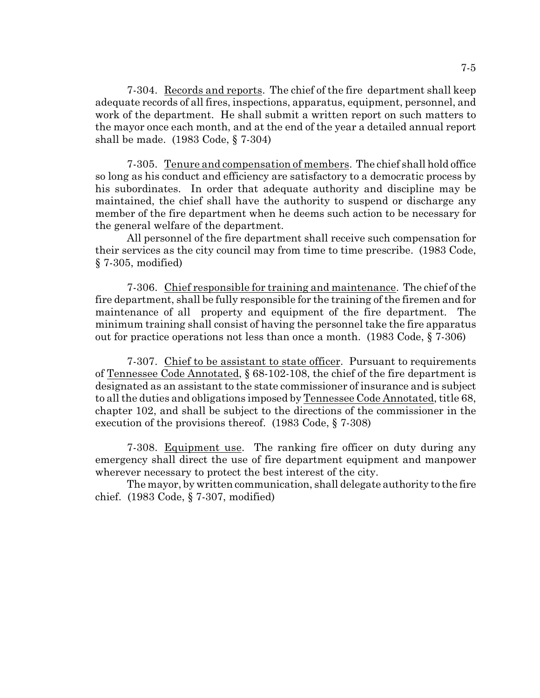7-304. Records and reports. The chief of the fire department shall keep adequate records of all fires, inspections, apparatus, equipment, personnel, and work of the department. He shall submit a written report on such matters to the mayor once each month, and at the end of the year a detailed annual report shall be made. (1983 Code, § 7-304)

7-305. Tenure and compensation of members. The chief shall hold office so long as his conduct and efficiency are satisfactory to a democratic process by his subordinates. In order that adequate authority and discipline may be maintained, the chief shall have the authority to suspend or discharge any member of the fire department when he deems such action to be necessary for the general welfare of the department.

All personnel of the fire department shall receive such compensation for their services as the city council may from time to time prescribe. (1983 Code, § 7-305, modified)

7-306. Chief responsible for training and maintenance. The chief of the fire department, shall be fully responsible for the training of the firemen and for maintenance of all property and equipment of the fire department. The minimum training shall consist of having the personnel take the fire apparatus out for practice operations not less than once a month. (1983 Code, § 7-306)

7-307. Chief to be assistant to state officer. Pursuant to requirements of Tennessee Code Annotated, § 68-102-108, the chief of the fire department is designated as an assistant to the state commissioner of insurance and is subject to all the duties and obligations imposed by Tennessee Code Annotated, title 68, chapter 102, and shall be subject to the directions of the commissioner in the execution of the provisions thereof. (1983 Code, § 7-308)

7-308. Equipment use. The ranking fire officer on duty during any emergency shall direct the use of fire department equipment and manpower wherever necessary to protect the best interest of the city.

The mayor, by written communication, shall delegate authority to the fire chief. (1983 Code, § 7-307, modified)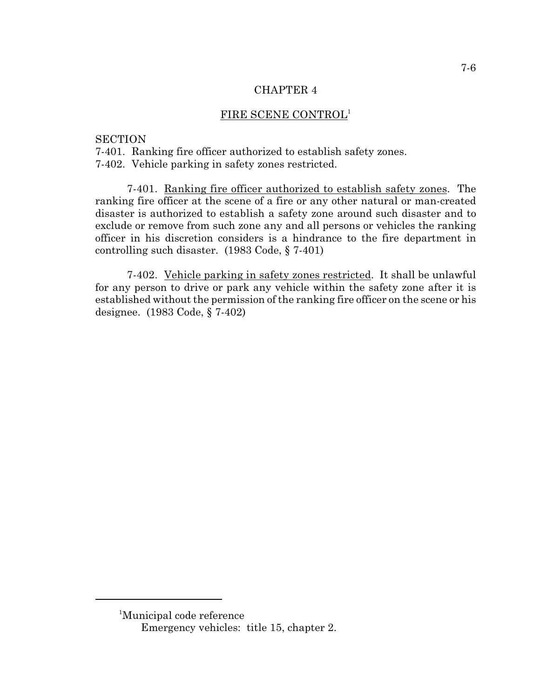#### FIRE SCENE CONTROL<sup>1</sup>

#### **SECTION**

7-401. Ranking fire officer authorized to establish safety zones. 7-402. Vehicle parking in safety zones restricted.

7-401. Ranking fire officer authorized to establish safety zones. The ranking fire officer at the scene of a fire or any other natural or man-created disaster is authorized to establish a safety zone around such disaster and to exclude or remove from such zone any and all persons or vehicles the ranking officer in his discretion considers is a hindrance to the fire department in controlling such disaster. (1983 Code, § 7-401)

7-402. Vehicle parking in safety zones restricted. It shall be unlawful for any person to drive or park any vehicle within the safety zone after it is established without the permission of the ranking fire officer on the scene or his designee. (1983 Code, § 7-402)

<sup>&</sup>lt;sup>1</sup>Municipal code reference Emergency vehicles: title 15, chapter 2.